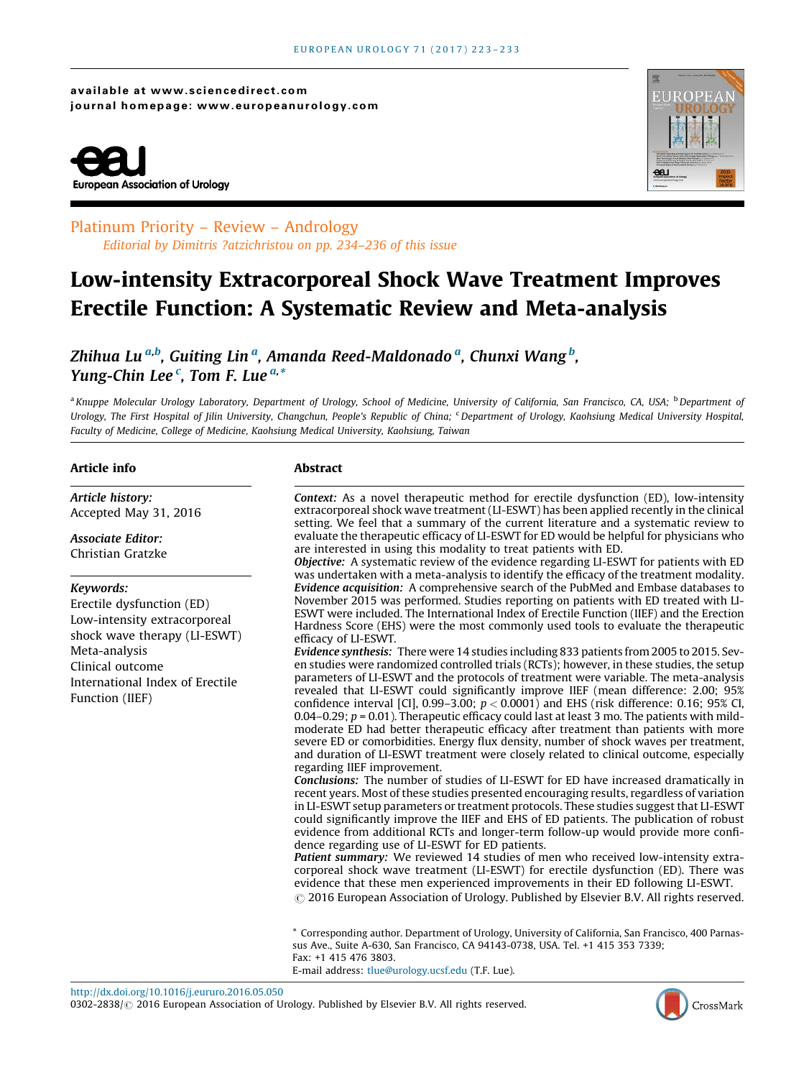available at www.sciencedirect.com journal homepage: www.europeanurology.com





### Platinum Priority – Review – Andrology Editorial by Dimitris ?atzichristou on pp. 234–236 of this issue

## Low-intensity Extracorporeal Shock Wave Treatment Improves Erectile Function: A Systematic Review and Meta-analysis

Zhihua Lu <sup>a,b</sup>, Guiting Lin <sup>a</sup>, Amanda Reed-Maldonado <sup>a</sup>, Chunxi Wang <sup>b</sup>, *Yung-Chin Lee<sup>c</sup>, Tom F. Lue<sup>a,\*</sup>* 

<sup>a</sup> Knuppe Molecular Urology Laboratory, Department of Urology, School of Medicine, University of California, San Francisco, CA, USA; <sup>b</sup>Department of Urology, The First Hospital of Jilin University, Changchun, People's Republic of China; <sup>c</sup>Department of Urology, Kaohsiung Medical University Hospital, Faculty of Medicine, College of Medicine, Kaohsiung Medical University, Kaohsiung, Taiwan

#### Article info

*Article history:* Accepted May 31, 2016

#### *Associate Editor:* Christian Gratzke

#### *Keywords:*

Erectile dysfunction (ED) Low-intensity extracorporeal shock wave therapy (LI-ESWT) Meta-analysis Clinical outcome International Index of Erectile Function (IIEF)

#### Abstract

*Context:* As a novel therapeutic method for erectile dysfunction (ED), low-intensity extracorporeal shock wave treatment (LI-ESWT) has been applied recently in the clinical setting. We feel that a summary of the current literature and a systematic review to evaluate the therapeutic efficacy of LI-ESWT for ED would be helpful for physicians who are interested in using this modality to treat patients with ED.

*Objective:* A systematic review of the evidence regarding LI-ESWT for patients with ED was undertaken with a meta-analysis to identify the efficacy of the treatment modality. *Evidence acquisition:* A comprehensive search of the PubMed and Embase databases to November 2015 was performed. Studies reporting on patients with ED treated with LI-ESWT were included. The International Index of Erectile Function (IIEF) and the Erection Hardness Score (EHS) were the most commonly used tools to evaluate the therapeutic efficacy of LI-ESWT.

*Evidence synthesis:* There were 14 studies including 833 patients from 2005 to 2015. Seven studies were randomized controlled trials (RCTs); however, in these studies, the setup parameters of LI-ESWT and the protocols of treatment were variable. The meta-analysis revealed that LI-ESWT could significantly improve IIEF (mean difference: 2.00; 95% confidence interval [CI], 0.99–3.00;  $p < 0.0001$ ) and EHS (risk difference: 0.16; 95% CI, 0.04–0.29;  $p = 0.01$ ). Therapeutic efficacy could last at least 3 mo. The patients with mildmoderate ED had better therapeutic efficacy after treatment than patients with more severe ED or comorbidities. Energy flux density, number of shock waves per treatment, and duration of LI-ESWT treatment were closely related to clinical outcome, especially regarding IIEF improvement.

*Conclusions:* The number of studies of LI-ESWT for ED have increased dramatically in recent years. Most of these studies presented encouraging results, regardless of variation in LI-ESWT setup parameters or treatment protocols. These studies suggest that LI-ESWT could significantly improve the IIEF and EHS of ED patients. The publication of robust evidence from additional RCTs and longer-term follow-up would provide more confidence regarding use of LI-ESWT for ED patients.

*Patient summary:* We reviewed 14 studies of men who received low-intensity extracorporeal shock wave treatment (LI-ESWT) for erectile dysfunction (ED). There was evidence that these men experienced improvements in their ED following LI-ESWT.  $\odot$  2016 European Association of Urology. Published by Elsevier B.V. All rights reserved.

\* Corresponding author. Department of Urology, University of California, San Francisco, 400 Parnassus Ave., Suite A-630, San Francisco, CA 94143-0738, USA. Tel. +1 415 353 7339; Fax: +1 415 476 3803. E-mail address: [tlue@urology.ucsf.edu](mailto:tlue@urology.ucsf.edu) (T.F. Lue).

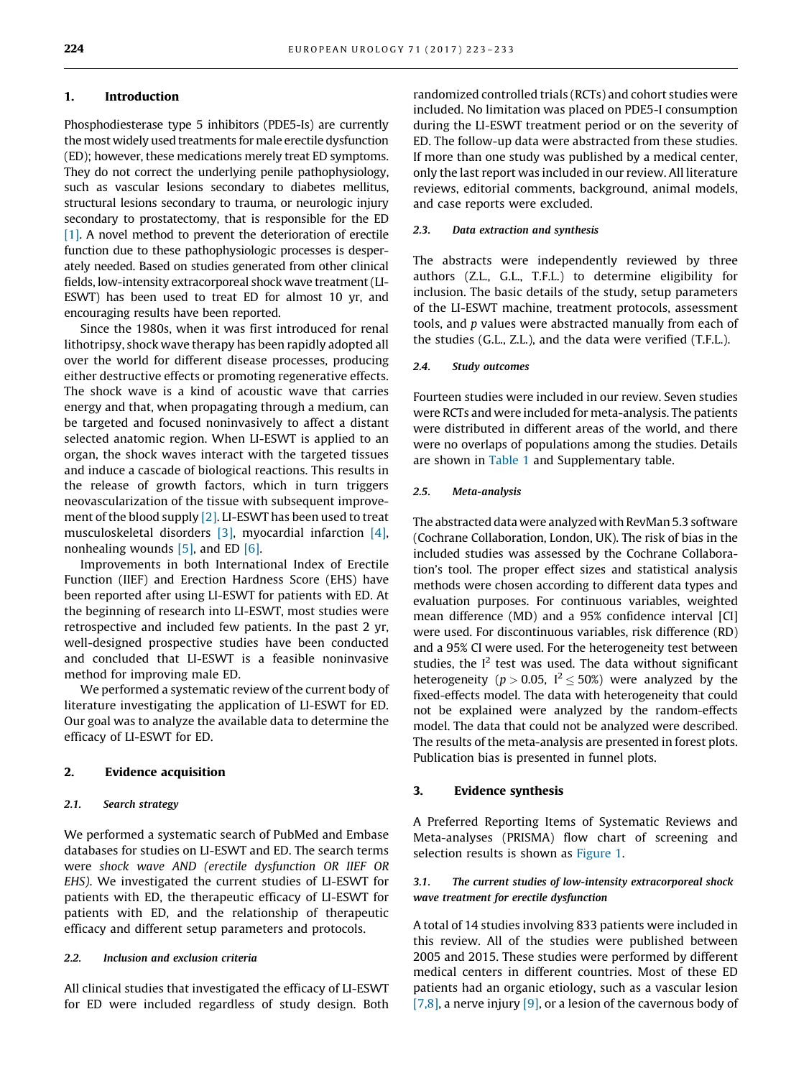#### 1. Introduction

Phosphodiesterase type 5 inhibitors (PDE5-Is) are currently the most widely used treatments for male erectile dysfunction (ED); however, these medications merely treat ED symptoms. They do not correct the underlying penile pathophysiology, such as vascular lesions secondary to diabetes mellitus, structural lesions secondary to trauma, or neurologic injury secondary to prostatectomy, that is responsible for the ED [\[1\]](#page-9-0). A novel method to prevent the deterioration of erectile function due to these pathophysiologic processes is desperately needed. Based on studies generated from other clinical fields, low-intensity extracorporeal shock wave treatment (LI-ESWT) has been used to treat ED for almost 10 yr, and encouraging results have been reported.

Since the 1980s, when it was first introduced for renal lithotripsy, shock wave therapy has been rapidly adopted all over the world for different disease processes, producing either destructive effects or promoting regenerative effects. The shock wave is a kind of acoustic wave that carries energy and that, when propagating through a medium, can be targeted and focused noninvasively to affect a distant selected anatomic region. When LI-ESWT is applied to an organ, the shock waves interact with the targeted tissues and induce a cascade of biological reactions. This results in the release of growth factors, which in turn triggers neovascularization of the tissue with subsequent improvement of the blood supply [\[2\].](#page-9-0) LI-ESWT has been used to treat musculoskeletal disorders [\[3\],](#page-9-0) myocardial infarction [\[4\]](#page-9-0), nonhealing wounds [\[5\]](#page-9-0), and ED [\[6\]](#page-9-0).

Improvements in both International Index of Erectile Function (IIEF) and Erection Hardness Score (EHS) have been reported after using LI-ESWT for patients with ED. At the beginning of research into LI-ESWT, most studies were retrospective and included few patients. In the past 2 yr, well-designed prospective studies have been conducted and concluded that LI-ESWT is a feasible noninvasive method for improving male ED.

We performed a systematic review of the current body of literature investigating the application of LI-ESWT for ED. Our goal was to analyze the available data to determine the efficacy of LI-ESWT for ED.

#### 2. Evidence acquisition

#### *2.1. Search strategy*

We performed a systematic search of PubMed and Embase databases for studies on LI-ESWT and ED. The search terms were shock wave AND (erectile dysfunction OR IIEF OR EHS). We investigated the current studies of LI-ESWT for patients with ED, the therapeutic efficacy of LI-ESWT for patients with ED, and the relationship of therapeutic efficacy and different setup parameters and protocols.

#### *2.2. Inclusion and exclusion criteria*

All clinical studies that investigated the efficacy of LI-ESWT for ED were included regardless of study design. Both

randomized controlled trials (RCTs) and cohort studies were included. No limitation was placed on PDE5-I consumption during the LI-ESWT treatment period or on the severity of ED. The follow-up data were abstracted from these studies. If more than one study was published by a medical center, only the last report was included in our review. All literature reviews, editorial comments, background, animal models, and case reports were excluded.

#### *2.3. Data extraction and synthesis*

The abstracts were independently reviewed by three authors (Z.L., G.L., T.F.L.) to determine eligibility for inclusion. The basic details of the study, setup parameters of the LI-ESWT machine, treatment protocols, assessment tools, and p values were abstracted manually from each of the studies (G.L., Z.L.), and the data were verified (T.F.L.).

#### *2.4. Study outcomes*

Fourteen studies were included in our review. Seven studies were RCTs and were included for meta-analysis. The patients were distributed in different areas of the world, and there were no overlaps of populations among the studies. Details are shown in [Table 1](#page-2-0) and Supplementary table.

#### *2.5. Meta-analysis*

The abstracted data were analyzed with RevMan 5.3 software (Cochrane Collaboration, London, UK). The risk of bias in the included studies was assessed by the Cochrane Collaboration's tool. The proper effect sizes and statistical analysis methods were chosen according to different data types and evaluation purposes. For continuous variables, weighted mean difference (MD) and a 95% confidence interval [CI] were used. For discontinuous variables, risk difference (RD) and a 95% CI were used. For the heterogeneity test between studies, the  $I<sup>2</sup>$  test was used. The data without significant heterogeneity ( $p > 0.05$ ,  $I^2 \le 50\%$ ) were analyzed by the fixed-effects model. The data with heterogeneity that could not be explained were analyzed by the random-effects model. The data that could not be analyzed were described. The results of the meta-analysis are presented in forest plots. Publication bias is presented in funnel plots.

#### 3. Evidence synthesis

A Preferred Reporting Items of Systematic Reviews and Meta-analyses (PRISMA) flow chart of screening and selection results is shown as [Figure 1](#page-3-0).

#### *3.1. The current studies of low-intensity extracorporeal shock wave treatment for erectile dysfunction*

A total of 14 studies involving 833 patients were included in this review. All of the studies were published between 2005 and 2015. These studies were performed by different medical centers in different countries. Most of these ED patients had an organic etiology, such as a vascular lesion [\[7,8\],](#page-9-0) a nerve injury [\[9\],](#page-9-0) or a lesion of the cavernous body of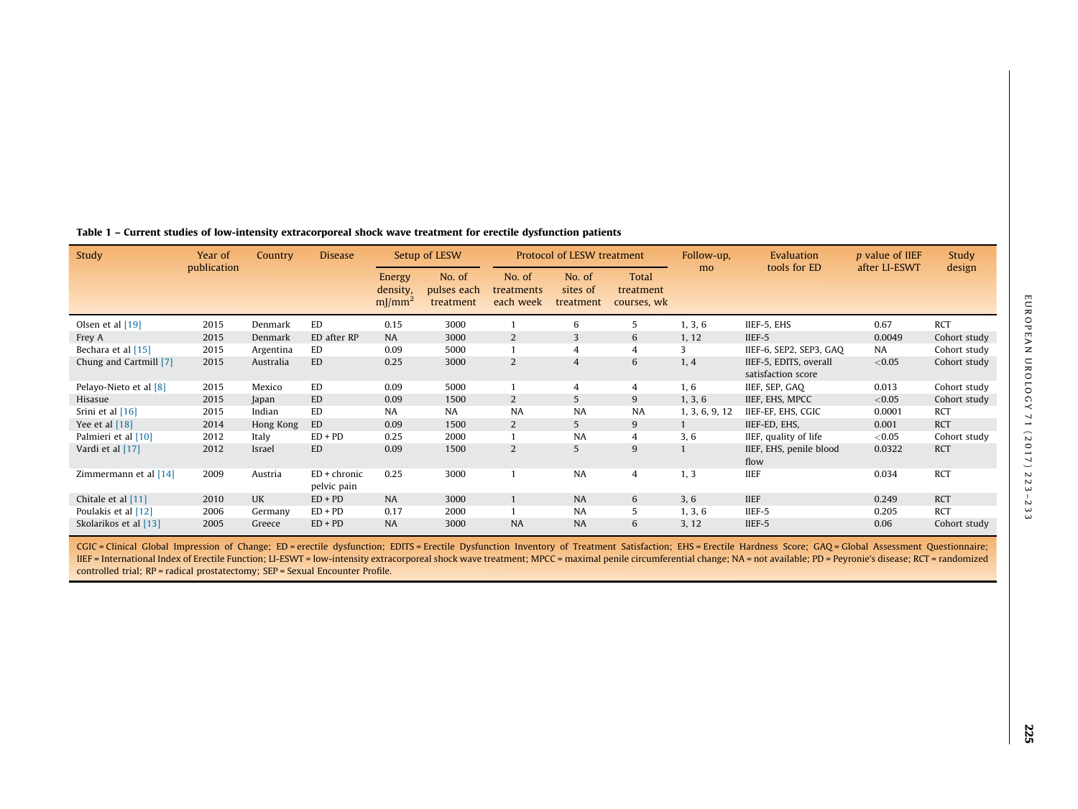| Study                  | Year of     | <b>Country</b> | <b>Disease</b>                |                                                    | Setup of LESW                      |                                   | Protocol of LESW treatment      |                                          | Follow-up,     | Evaluation                                   | <i>p</i> value of IIEF | Study        |
|------------------------|-------------|----------------|-------------------------------|----------------------------------------------------|------------------------------------|-----------------------------------|---------------------------------|------------------------------------------|----------------|----------------------------------------------|------------------------|--------------|
|                        | publication |                |                               | <b>Energy</b><br>density,<br>$m$ ]/mm <sup>2</sup> | No. of<br>pulses each<br>treatment | No. of<br>treatments<br>each week | No. of<br>sites of<br>treatment | <b>Total</b><br>treatment<br>courses, wk | mo             | tools for ED                                 | after LI-ESWT          | design       |
| Olsen et al [19]       | 2015        | Denmark        | <b>ED</b>                     | 0.15                                               | 3000                               |                                   | 6                               | 5                                        | 1, 3, 6        | IIEF-5, EHS                                  | 0.67                   | <b>RCT</b>   |
| Frey A                 | 2015        | Denmark        | ED after RP                   | <b>NA</b>                                          | 3000                               | 2                                 | $\overline{3}$                  | 6                                        | 1, 12          | IIEF-5                                       | 0.0049                 | Cohort study |
| Bechara et al [15]     | 2015        | Argentina      | ED                            | 0.09                                               | 5000                               |                                   | $\overline{4}$                  | $\overline{4}$                           | 3              | IIEF-6, SEP2, SEP3, GAO                      | <b>NA</b>              | Cohort study |
| Chung and Cartmill [7] | 2015        | Australia      | <b>ED</b>                     | 0.25                                               | 3000                               | $\overline{2}$                    | $\overline{4}$                  | 6                                        | 1, 4           | IIEF-5, EDITS, overall<br>satisfaction score | < 0.05                 | Cohort study |
| Pelayo-Nieto et al [8] | 2015        | Mexico         | ED                            | 0.09                                               | 5000                               |                                   | 4                               | 4                                        | 1, 6           | IIEF, SEP, GAQ                               | 0.013                  | Cohort study |
| Hisasue                | 2015        | Japan          | <b>ED</b>                     | 0.09                                               | 1500                               | $\overline{2}$                    | 5                               | 9                                        | 1, 3, 6        | IIEF, EHS, MPCC                              | < 0.05                 | Cohort study |
| Srini et al [16]       | 2015        | Indian         | ED                            | <b>NA</b>                                          | NA                                 | NA                                | <b>NA</b>                       | NA                                       | 1, 3, 6, 9, 12 | IIEF-EF, EHS, CGIC                           | 0.0001                 | <b>RCT</b>   |
| Yee et al $[18]$       | 2014        | Hong Kong      | ED                            | 0.09                                               | 1500                               | 2                                 | 5                               | 9                                        |                | IIEF-ED, EHS,                                | 0.001                  | <b>RCT</b>   |
| Palmieri et al [10]    | 2012        | Italy          | $ED + PD$                     | 0.25                                               | 2000                               |                                   | <b>NA</b>                       | $\overline{4}$                           | 3, 6           | IIEF, quality of life                        | < 0.05                 | Cohort study |
| Vardi et al [17]       | 2012        | Israel         | ED                            | 0.09                                               | 1500                               | 2                                 | 5                               | 9                                        |                | IIEF, EHS, penile blood<br>flow              | 0.0322                 | <b>RCT</b>   |
| Zimmermann et al [14]  | 2009        | Austria        | $ED + chronic$<br>pelvic pain | 0.25                                               | 3000                               |                                   | NA                              | $\overline{4}$                           | 1, 3           | <b>IIEF</b>                                  | 0.034                  | <b>RCT</b>   |
| Chitale et al [11]     | 2010        | <b>UK</b>      | $ED + PD$                     | NA                                                 | 3000                               |                                   | <b>NA</b>                       | 6                                        | 3, 6           | <b>IIEF</b>                                  | 0.249                  | <b>RCT</b>   |
| Poulakis et al [12]    | 2006        | Germany        | $ED + PD$                     | 0.17                                               | 2000                               |                                   | <b>NA</b>                       | 5                                        | 1, 3, 6        | IIEF-5                                       | 0.205                  | <b>RCT</b>   |
| Skolarikos et al [13]  | 2005        | Greece         | $ED + PD$                     | <b>NA</b>                                          | 3000                               | <b>NA</b>                         | <b>NA</b>                       | 6                                        | 3, 12          | IIEF-5                                       | 0.06                   | Cohort study |

#### <span id="page-2-0"></span>Table 1 – Current studies of low-intensity extracorporeal shock wave treatment for erectile dysfunction patients

CGIC = Clinical Global Impression of Change; ED = erectile dysfunction; EDITS = Erectile Dysfunction Inventory of Treatment Satisfaction; EHS = Erectile Hardness Score; GAQ = Global Assessment Questionnaire; IIEF = International Index of Erectile Function; LI-ESWT = low-intensity extracorporeal shock wave treatment; MPCC = maximal penile circumferential change; NA = not available; PD = Peyronie's disease; RCT = randomized controlled trial; RP = radical prostatectomy; SEP = Sexual Encounter Profile.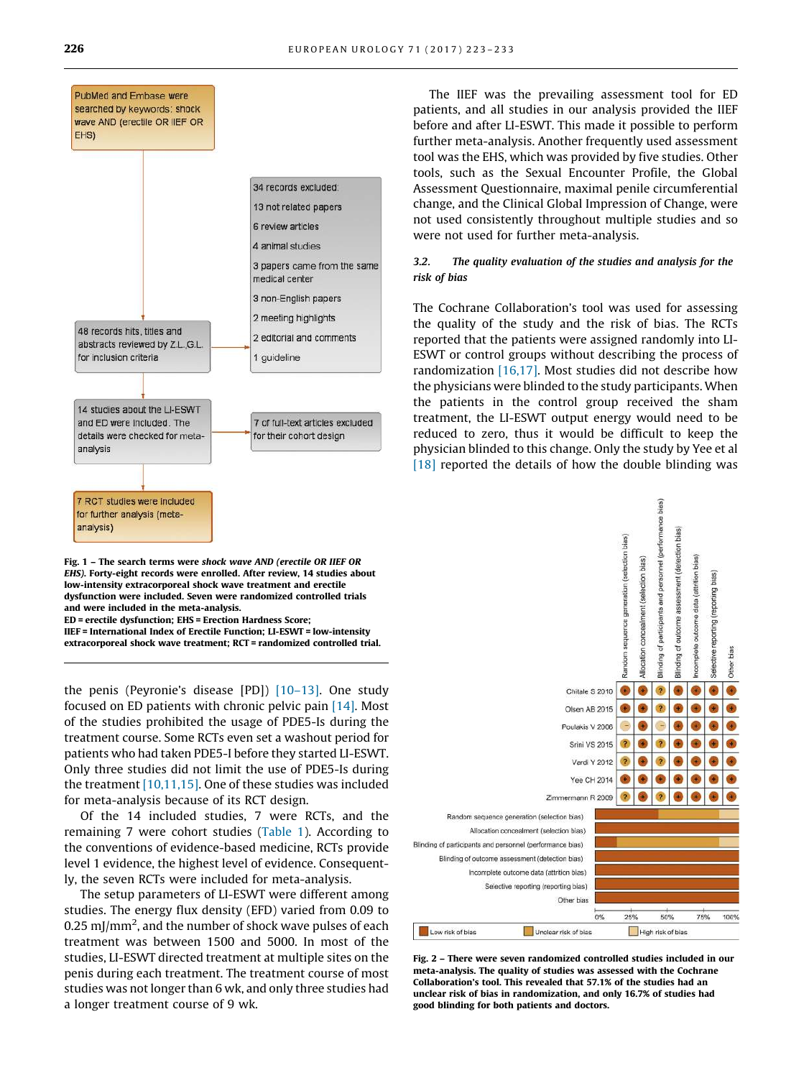<span id="page-3-0"></span>

EHS). Forty-eight records were enrolled. After review, 14 studies about low-intensity extracorporeal shock wave treatment and erectile dysfunction were included. Seven were randomized controlled trials and were included in the meta-analysis. ED = erectile dysfunction; EHS = Erection Hardness Score; IIEF = International Index of Erectile Function; LI-ESWT = low-intensity

extracorporeal shock wave treatment; RCT = randomized controlled trial.

the penis (Peyronie's disease [PD]) [\[10–13\]](#page-9-0). One study focused on ED patients with chronic pelvic pain [\[14\]](#page-9-0). Most of the studies prohibited the usage of PDE5-Is during the treatment course. Some RCTs even set a washout period for patients who had taken PDE5-I before they started LI-ESWT. Only three studies did not limit the use of PDE5-Is during the treatment [\[10,11,15\]](#page-9-0). One of these studies was included for meta-analysis because of its RCT design.

Of the 14 included studies, 7 were RCTs, and the remaining 7 were cohort studies ([Table 1](#page-2-0)). According to the conventions of evidence-based medicine, RCTs provide level 1 evidence, the highest level of evidence. Consequently, the seven RCTs were included for meta-analysis.

The setup parameters of LI-ESWT were different among studies. The energy flux density (EFD) varied from 0.09 to 0.25 mJ/mm<sup>2</sup>, and the number of shock wave pulses of each treatment was between 1500 and 5000. In most of the studies, LI-ESWT directed treatment at multiple sites on the penis during each treatment. The treatment course of most studies was not longer than 6 wk, and only three studies had a longer treatment course of 9 wk.

The IIEF was the prevailing assessment tool for ED patients, and all studies in our analysis provided the IIEF before and after LI-ESWT. This made it possible to perform further meta-analysis. Another frequently used assessment tool was the EHS, which was provided by five studies. Other tools, such as the Sexual Encounter Profile, the Global Assessment Questionnaire, maximal penile circumferential change, and the Clinical Global Impression of Change, were not used consistently throughout multiple studies and so were not used for further meta-analysis.

#### *3.2. The quality evaluation of the studies and analysis for the risk of bias*

The Cochrane Collaboration's tool was used for assessing the quality of the study and the risk of bias. The RCTs reported that the patients were assigned randomly into LI-ESWT or control groups without describing the process of randomization [\[16,17\].](#page-9-0) Most studies did not describe how the physicians were blinded to the study participants. When the patients in the control group received the sham treatment, the LI-ESWT output energy would need to be reduced to zero, thus it would be difficult to keep the physician blinded to this change. Only the study by Yee et al [\[18\]](#page-9-0) reported the details of how the double blinding was



Fig. 2 – There were seven randomized controlled studies included in our meta-analysis. The quality of studies was assessed with the Cochrane Collaboration's tool. This revealed that 57.1% of the studies had an unclear risk of bias in randomization, and only 16.7% of studies had good blinding for both patients and doctors.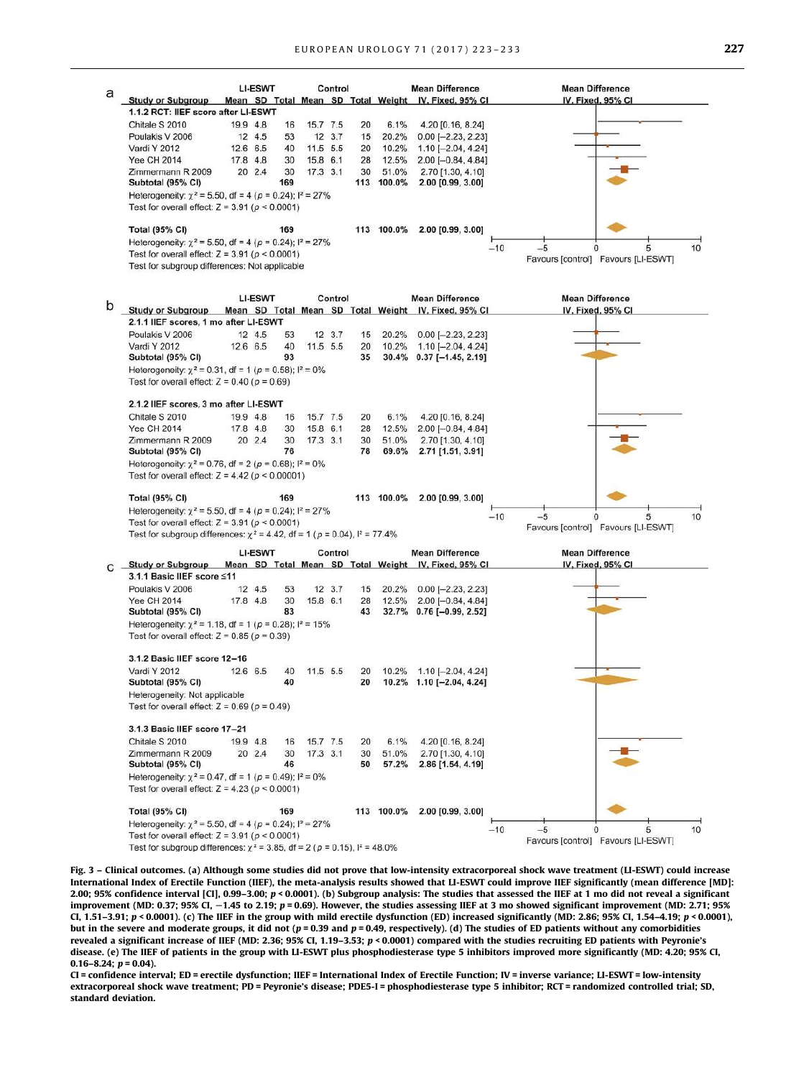<span id="page-4-0"></span>

|   |                                                                                                                                 |          | <b>LI-ESWT</b> |           |          | Control |          |                     | <b>Mean Difference</b>                                         | <b>Mean Difference</b>                                           |    |  |  |
|---|---------------------------------------------------------------------------------------------------------------------------------|----------|----------------|-----------|----------|---------|----------|---------------------|----------------------------------------------------------------|------------------------------------------------------------------|----|--|--|
| a | <b>Study or Subgroup</b>                                                                                                        |          |                |           |          |         |          |                     | Mean SD Total Mean SD Total Weight IV, Fixed, 95% CI           | IV. Fixed, 95% CI                                                |    |  |  |
|   | 1.1.2 RCT: IIEF score after LI-ESWT                                                                                             |          |                |           |          |         |          |                     |                                                                |                                                                  |    |  |  |
|   | Chitale S 2010                                                                                                                  | 19.9 4.8 |                | 16        | 15.7 7.5 |         | 20       | 6.1%                | 4.20 [0.16, 8.24]                                              |                                                                  |    |  |  |
|   | Poulakis V 2006                                                                                                                 |          | 12 4.5         | 53        |          | 12 3.7  | 15       | 20.2%               | $0.00$ [-2.23, 2.23]                                           |                                                                  |    |  |  |
|   | Vardi Y 2012                                                                                                                    |          | 12.6 6.5       | 40        | 11.5 5.5 |         | 20       | 10.2%               | $1.10$ [-2.04, 4.24]                                           |                                                                  |    |  |  |
|   | <b>Yee CH 2014</b>                                                                                                              | 17.8 4.8 |                | 30        | 15.8 6.1 |         | 28       | 12.5%               | $2.00$ [-0.84, 4.84]                                           |                                                                  |    |  |  |
|   | Zimmermann R 2009<br>Subtotal (95% CI)                                                                                          |          | 20 2.4         | 30<br>169 | 17.3 3.1 |         | 30       | 51.0%<br>113 100.0% | 2.70 [1.30, 4.10]<br>2.00 [0.99, 3.00]                         |                                                                  |    |  |  |
|   | Heterogeneity: $\chi^2$ = 5.50, df = 4 ( $\rho$ = 0.24); $I^2$ = 27%<br>Test for overall effect: $Z = 3.91$ ( $\rho < 0.0001$ ) |          |                |           |          |         |          |                     |                                                                |                                                                  |    |  |  |
|   | <b>Total (95% CI)</b>                                                                                                           |          |                | 169       |          |         |          | 113 100.0%          | 2.00 [0.99, 3.00]                                              |                                                                  |    |  |  |
|   | Heterogeneity: $\chi^2$ = 5.50, df = 4 ( $\rho$ = 0.24); $I^2$ = 27%                                                            |          |                |           |          |         |          |                     |                                                                | $-10$<br>$-5$<br>5                                               | 10 |  |  |
|   | Test for overall effect: $Z = 3.91$ ( $\rho < 0.0001$ )<br>Test for subgroup differences: Not applicable                        |          |                |           |          |         |          |                     |                                                                | Favours [control] Favours [LI-ESWT]                              |    |  |  |
|   |                                                                                                                                 |          | <b>LI-ESWT</b> |           |          | Control |          |                     | <b>Mean Difference</b>                                         | <b>Mean Difference</b>                                           |    |  |  |
| b | Study or Subgroup Mean SD Total Mean SD Total Weight IV, Fixed, 95% CI                                                          |          |                |           |          |         |          |                     |                                                                | IV. Fixed, 95% CI                                                |    |  |  |
|   | 2.1.1 IIEF scores, 1 mo after LI-ESWT                                                                                           |          |                |           |          |         |          |                     |                                                                |                                                                  |    |  |  |
|   | Poulakis V 2006                                                                                                                 |          | 12 4.5         | 53        |          | 12 3.7  | 15       | 20.2%               | $0.00$ [-2.23, 2.23]                                           |                                                                  |    |  |  |
|   | Vardi Y 2012<br>Subtotal (95% CI)                                                                                               |          | 12.6 6.5       | 40<br>93  | 11.5 5.5 |         | 20<br>35 | 10.2%               | $1.10$ [-2.04, 4.24]<br>30.4% 0.37 [-1.45, 2.19]               |                                                                  |    |  |  |
|   | Heterogeneity: $\chi^2$ = 0.31, df = 1 ( $\rho$ = 0.58); l <sup>2</sup> = 0%                                                    |          |                |           |          |         |          |                     |                                                                |                                                                  |    |  |  |
|   | Test for overall effect: $Z = 0.40$ ( $p = 0.69$ )                                                                              |          |                |           |          |         |          |                     |                                                                |                                                                  |    |  |  |
|   | 2.1.2 IIEF scores, 3 mo after LI-ESWT                                                                                           |          |                |           |          |         |          |                     |                                                                |                                                                  |    |  |  |
|   | Chitale S 2010                                                                                                                  | 19.9 4.8 |                | 16        | 15.7 7.5 |         | 20       | 6.1%                | 4.20 [0.16, 8.24]                                              |                                                                  |    |  |  |
|   | <b>Yee CH 2014</b>                                                                                                              | 17.8 4.8 |                | 30        | 15.8 6.1 |         | 28       | 12.5%               | $2.00$ [-0.84, 4.84]                                           |                                                                  |    |  |  |
|   | Zimmermann R 2009<br>Subtotal (95% CI)                                                                                          |          | 20 2.4         | 30<br>76  | 17.3 3.1 |         | 30<br>78 | 51.0%<br>69.6%      | 2.70 [1.30, 4.10]<br>2.71 [1.51, 3.91]                         |                                                                  |    |  |  |
|   | Heterogeneity: $\chi^2$ = 0.76, df = 2 ( $\rho$ = 0.68); $I^2$ = 0%<br>Test for overall effect: $Z = 4.42$ ( $p < 0.00001$ )    |          |                |           |          |         |          |                     |                                                                |                                                                  |    |  |  |
|   | <b>Total (95% CI)</b>                                                                                                           |          |                | 169       |          |         |          | 113 100.0%          | 2.00 [0.99, 3.00]                                              |                                                                  |    |  |  |
|   | Heterogeneity: $\gamma^2$ = 5.50, df = 4 ( $\rho$ = 0.24); $I^2$ = 27%<br>Test for overall effect: $Z = 3.91$ ( $p < 0.0001$ )  |          |                |           |          |         |          |                     | $-10$<br>$-5$<br>0<br>5<br>Favours [control] Favours [LI-ESWT] | 10                                                               |    |  |  |
|   | Test for subgroup differences: $\chi^2$ = 4.42, df = 1 (p = 0.04), $I^2$ = 77.4%                                                |          |                |           |          |         |          |                     |                                                                |                                                                  |    |  |  |
|   |                                                                                                                                 |          | <b>LI-ESWT</b> |           |          | Control |          |                     | <b>Mean Difference</b>                                         | <b>Mean Difference</b>                                           |    |  |  |
| С | <b>Study or Subgroup</b>                                                                                                        |          |                |           |          |         |          |                     | Mean SD Total Mean SD Total Weight IV, Fixed, 95% CI           | IV, Fixed, 95% CI                                                |    |  |  |
|   | 3.1.1 Basic IIEF score ≤11                                                                                                      |          |                |           |          |         |          |                     |                                                                |                                                                  |    |  |  |
|   | Poulakis V 2006<br><b>Yee CH 2014</b>                                                                                           | 17.8 4.8 | 12 4.5         | 53<br>30  | 15.8 6.1 | 12 3.7  | 15       | 20.2%               | $0.00$ [-2.23, 2.23]                                           |                                                                  |    |  |  |
|   | Subtotal (95% CI)                                                                                                               |          |                | 83        |          |         | 28<br>43 |                     | 12.5% 2.00 [-0.84, 4.84]<br>32.7% 0.76 [-0.99, 2.52]           |                                                                  |    |  |  |
|   |                                                                                                                                 |          |                |           |          |         |          |                     |                                                                |                                                                  |    |  |  |
|   | Heterogeneity: $\chi^2$ = 1.18, df = 1 ( $\rho$ = 0.28); $I^2$ = 15%<br>Test for overall effect: $Z = 0.85$ ( $\rho = 0.39$ )   |          |                |           |          |         |          |                     |                                                                |                                                                  |    |  |  |
|   | 3.1.2 Basic IIEF score 12-16                                                                                                    |          |                |           |          |         |          |                     |                                                                |                                                                  |    |  |  |
|   | Vardi Y 2012<br>Subtotal (95% CI)                                                                                               | 12.6 6.5 |                | 40<br>40  | 11.5 5.5 |         | 20<br>20 |                     | 10.2% 1.10 [-2.04, 4.24]<br>10.2% 1.10 [-2.04, 4.24]           |                                                                  |    |  |  |
|   | Heterogeneity: Not applicable<br>Test for overall effect: $Z = 0.69$ ( $p = 0.49$ )                                             |          |                |           |          |         |          |                     |                                                                |                                                                  |    |  |  |
|   | 3.1.3 Basic IIEF score 17-21                                                                                                    |          |                |           |          |         |          |                     |                                                                |                                                                  |    |  |  |
|   | Chitale S 2010                                                                                                                  | 19.9 4.8 |                | 16        | 15.7 7.5 |         | 20       | 6.1%                | 4.20 [0.16, 8.24]                                              |                                                                  |    |  |  |
|   | Zimmermann R 2009<br>Subtotal (95% CI)                                                                                          |          | 20 2.4         | 30<br>46  | 17.3 3.1 |         | 30<br>50 | 51.0%<br>57.2%      | 2.70 [1.30, 4.10]<br>2.86 [1.54, 4.19]                         |                                                                  |    |  |  |
|   | Heterogeneity: $\chi^2$ = 0.47, df = 1 ( $p$ = 0.49); $l^2$ = 0%<br>Test for overall effect: $Z = 4.23$ ( $p < 0.0001$ )        |          |                |           |          |         |          |                     |                                                                |                                                                  |    |  |  |
|   | <b>Total (95% CI)</b>                                                                                                           |          |                | 169       |          |         |          | 113 100.0%          | 2.00 [0.99, 3.00]                                              |                                                                  |    |  |  |
|   | Heterogeneity: $\chi^2 = 5.50$ , df = 4 (p = 0.24); $I^2 = 27\%$                                                                |          |                |           |          |         |          |                     |                                                                |                                                                  |    |  |  |
|   |                                                                                                                                 |          |                |           |          |         |          |                     |                                                                | $-5$                                                             |    |  |  |
|   | Test for overall effect: $Z = 3.91$ ( $\rho < 0.0001$ )                                                                         |          |                |           |          |         |          |                     |                                                                | $-10$<br>$\mathbf 0$<br>5<br>Favours [control] Favours [LI-ESWT] | 10 |  |  |

Fig. 3 – Clinical outcomes. (a) Although some studies did not prove that low-intensity extracorporeal shock wave treatment (LI-ESWT) could increase International Index of Erectile Function (IIEF), the meta-analysis results showed that LI-ESWT could improve IIEF significantly (mean difference [MD]: 2.00; 95% confidence interval [CI], 0.99–3.00; p < 0.0001). (b) Subgroup analysis: The studies that assessed the IIEF at 1 mo did not reveal a significant improvement (MD: 0.37; 95% CI, -1.45 to 2.19; p = 0.69). However, the studies assessing IIEF at 3 mo showed significant improvement (MD: 2.71; 95% CI, 1.51-3.91;  $p < 0.0001$ ). (c) The IIEF in the group with mild erectile dysfunction (ED) increased significantly (MD: 2.86; 95% CI, 1.54-4.19;  $p < 0.0001$ ), but in the severe and moderate groups, it did not  $(p = 0.39$  and  $p = 0.49$ , respectively). (d) The studies of ED patients without any comorbidities revealed a significant increase of IIEF (MD: 2.36; 95% CI, 1.19–3.53; p < 0.0001) compared with the studies recruiting ED patients with Peyronie's disease. (e) The IIEF of patients in the group with LI-ESWT plus phosphodiesterase type 5 inhibitors improved more significantly (MD: 4.20; 95% CI,  $0.16-8.24$ ;  $p = 0.04$ ).

CI = confidence interval; ED = erectile dysfunction; IIEF = International Index of Erectile Function; IV = inverse variance; LI-ESWT = low-intensity extracorporeal shock wave treatment; PD = Peyronie's disease; PDE5-I = phosphodiesterase type 5 inhibitor; RCT = randomized controlled trial; SD, standard deviation.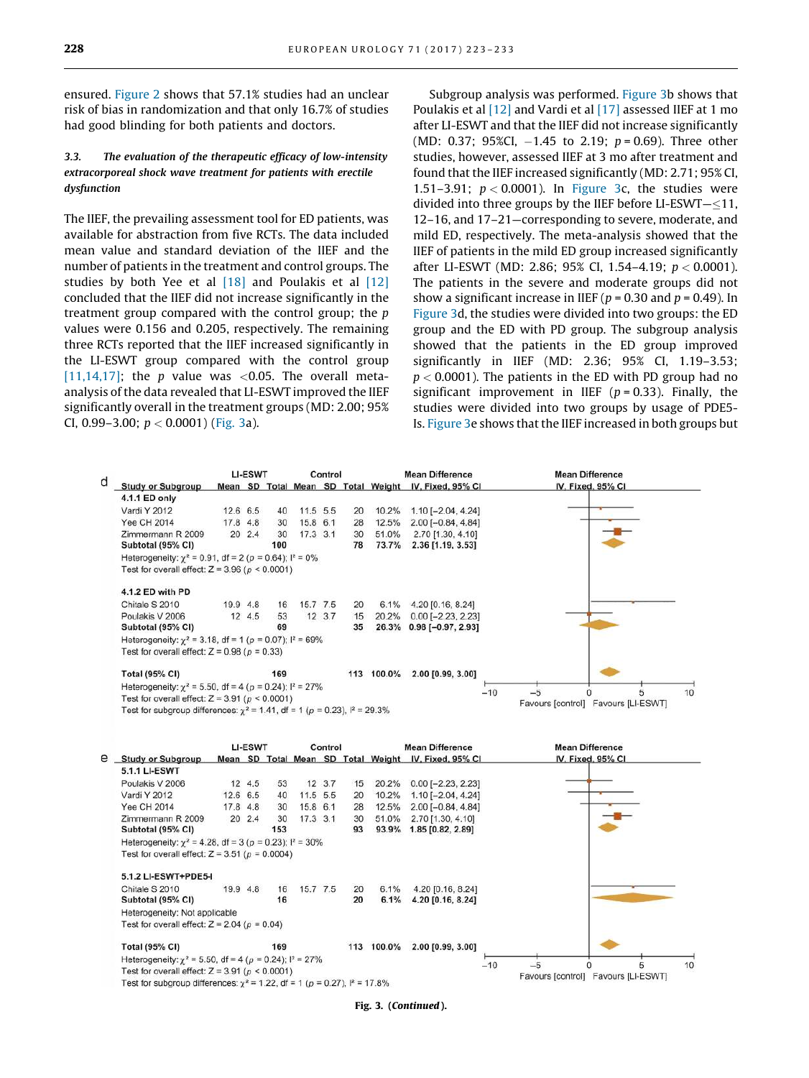ensured. [Figure 2](#page-3-0) shows that 57.1% studies had an unclear risk of bias in randomization and that only 16.7% of studies had good blinding for both patients and doctors.

#### *3.3. The evaluation of the therapeutic efficacy of low-intensity extracorporeal shock wave treatment for patients with erectile dysfunction*

The IIEF, the prevailing assessment tool for ED patients, was available for abstraction from five RCTs. The data included mean value and standard deviation of the IIEF and the number of patients in the treatment and control groups. The studies by both Yee et al  $[18]$  and Poulakis et al  $[12]$ concluded that the IIEF did not increase significantly in the treatment group compared with the control group; the  $p$ values were 0.156 and 0.205, respectively. The remaining three RCTs reported that the IIEF increased significantly in the LI-ESWT group compared with the control group [\[11,14,17\]](#page-9-0); the p value was <0.05. The overall metaanalysis of the data revealed that LI-ESWT improved the IIEF significantly overall in the treatment groups (MD: 2.00; 95% CI, 0.99–3.00;  $p < 0.0001$ ) ([Fig. 3](#page-4-0)a).

Subgroup analysis was performed. [Figure 3](#page-4-0)b shows that Poulakis et al [\[12\]](#page-9-0) and Vardi et al [\[17\]](#page-9-0) assessed IIEF at 1 mo after LI-ESWT and that the IIEF did not increase significantly (MD: 0.37; 95%CI,  $-1.45$  to 2.19;  $p = 0.69$ ). Three other studies, however, assessed IIEF at 3 mo after treatment and found that the IIEF increased significantly (MD: 2.71; 95% CI, 1.51–3.91;  $p < 0.0001$ ). In [Figure 3c](#page-4-0), the studies were divided into three groups by the IIEF before LI-ESWT $-\leq 11$ , 12–16, and 17–21—corresponding to severe, moderate, and mild ED, respectively. The meta-analysis showed that the IIEF of patients in the mild ED group increased significantly after LI-ESWT (MD: 2.86; 95% CI, 1.54-4.19;  $p < 0.0001$ ). The patients in the severe and moderate groups did not show a significant increase in IIEF ( $p = 0.30$  and  $p = 0.49$ ). In [Figure 3d](#page-4-0), the studies were divided into two groups: the ED group and the ED with PD group. The subgroup analysis showed that the patients in the ED group improved significantly in IIEF (MD: 2.36; 95% CI, 1.19–3.53;  $p < 0.0001$ ). The patients in the ED with PD group had no significant improvement in IIEF ( $p = 0.33$ ). Finally, the studies were divided into two groups by usage of PDE5- Is. [Figure 3e](#page-4-0) shows that the IIEF increased in both groups but





Fig. 3. (Continued).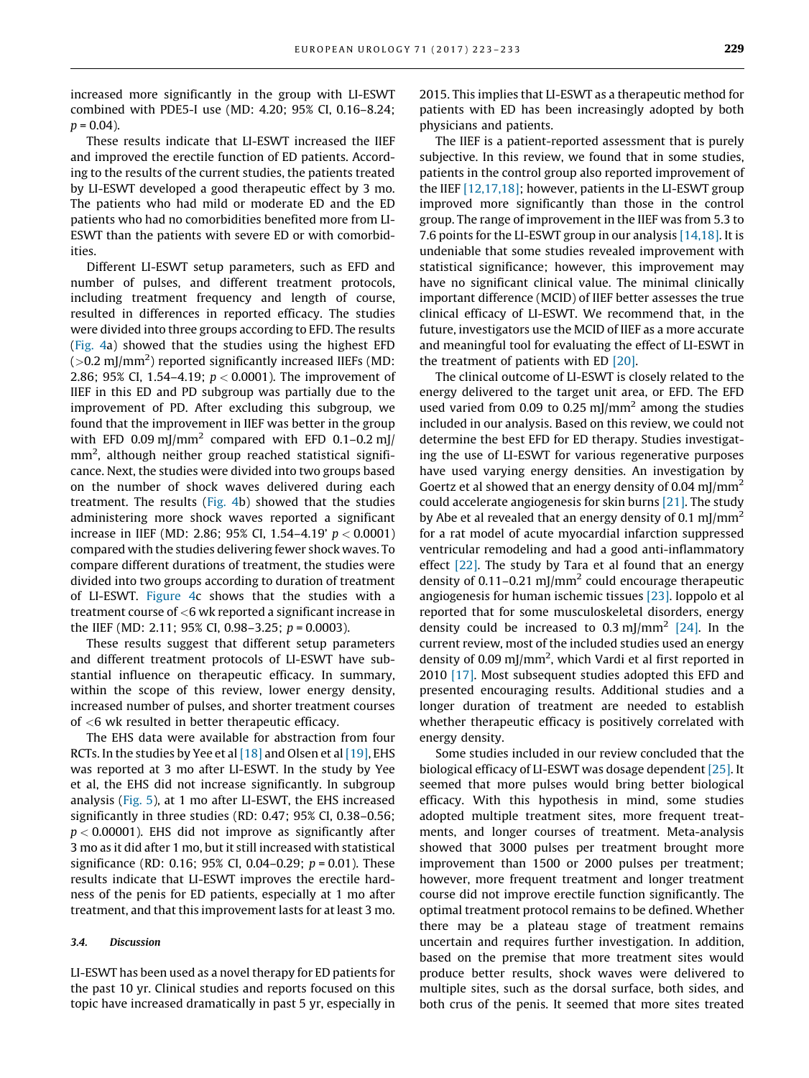increased more significantly in the group with LI-ESWT combined with PDE5-I use (MD: 4.20; 95% CI, 0.16–8.24;  $p = 0.04$ ).

These results indicate that LI-ESWT increased the IIEF and improved the erectile function of ED patients. According to the results of the current studies, the patients treated by LI-ESWT developed a good therapeutic effect by 3 mo. The patients who had mild or moderate ED and the ED patients who had no comorbidities benefited more from LI-ESWT than the patients with severe ED or with comorbidities.

Different LI-ESWT setup parameters, such as EFD and number of pulses, and different treatment protocols, including treatment frequency and length of course, resulted in differences in reported efficacy. The studies were divided into three groups according to EFD. The results [\(Fig. 4a](#page-7-0)) showed that the studies using the highest EFD  $(>$ 0.2 mJ/mm<sup>2</sup>) reported significantly increased IIEFs (MD: 2.86; 95% CI, 1.54–4.19;  $p < 0.0001$ ). The improvement of IIEF in this ED and PD subgroup was partially due to the improvement of PD. After excluding this subgroup, we found that the improvement in IIEF was better in the group with EFD 0.09 mJ/mm<sup>2</sup> compared with EFD 0.1–0.2 mJ/ mm<sup>2</sup>, although neither group reached statistical significance. Next, the studies were divided into two groups based on the number of shock waves delivered during each treatment. The results ([Fig. 4b](#page-7-0)) showed that the studies administering more shock waves reported a significant increase in IIEF (MD: 2.86; 95% CI, 1.54–4.19'  $p < 0.0001$ ) compared with the studies delivering fewer shock waves. To compare different durations of treatment, the studies were divided into two groups according to duration of treatment of LI-ESWT. [Figure 4](#page-7-0)c shows that the studies with a treatment course of <6 wk reported a significant increase in the IIEF (MD: 2.11; 95% CI, 0.98–3.25;  $p = 0.0003$ ).

These results suggest that different setup parameters and different treatment protocols of LI-ESWT have substantial influence on therapeutic efficacy. In summary, within the scope of this review, lower energy density, increased number of pulses, and shorter treatment courses of <6 wk resulted in better therapeutic efficacy.

The EHS data were available for abstraction from four RCTs. In the studies by Yee et al  $[18]$  and Olsen et al  $[19]$ , EHS was reported at 3 mo after LI-ESWT. In the study by Yee et al, the EHS did not increase significantly. In subgroup analysis ([Fig. 5\)](#page-8-0), at 1 mo after LI-ESWT, the EHS increased significantly in three studies (RD: 0.47; 95% CI, 0.38–0.56;  $p < 0.00001$ ). EHS did not improve as significantly after 3 mo as it did after 1 mo, but it still increased with statistical significance (RD: 0.16; 95% CI, 0.04-0.29;  $p = 0.01$ ). These results indicate that LI-ESWT improves the erectile hardness of the penis for ED patients, especially at 1 mo after treatment, and that this improvement lasts for at least 3 mo.

#### *3.4. Discussion*

LI-ESWT has been used as a novel therapy for ED patients for the past 10 yr. Clinical studies and reports focused on this topic have increased dramatically in past 5 yr, especially in 2015. This implies that LI-ESWT as a therapeutic method for patients with ED has been increasingly adopted by both physicians and patients.

The IIEF is a patient-reported assessment that is purely subjective. In this review, we found that in some studies, patients in the control group also reported improvement of the IIEF [\[12,17,18\];](#page-9-0) however, patients in the LI-ESWT group improved more significantly than those in the control group. The range of improvement in the IIEF was from 5.3 to 7.6 points for the LI-ESWT group in our analysis [\[14,18\].](#page-9-0) It is undeniable that some studies revealed improvement with statistical significance; however, this improvement may have no significant clinical value. The minimal clinically important difference (MCID) of IIEF better assesses the true clinical efficacy of LI-ESWT. We recommend that, in the future, investigators use the MCID of IIEF as a more accurate and meaningful tool for evaluating the effect of LI-ESWT in the treatment of patients with ED [\[20\].](#page-10-0)

The clinical outcome of LI-ESWT is closely related to the energy delivered to the target unit area, or EFD. The EFD used varied from 0.09 to 0.25 mJ/mm<sup>2</sup> among the studies included in our analysis. Based on this review, we could not determine the best EFD for ED therapy. Studies investigating the use of LI-ESWT for various regenerative purposes have used varying energy densities. An investigation by Goertz et al showed that an energy density of 0.04 mJ/mm<sup>2</sup> could accelerate angiogenesis for skin burns [\[21\]](#page-10-0). The study by Abe et al revealed that an energy density of 0.1 mJ/mm<sup>2</sup> for a rat model of acute myocardial infarction suppressed ventricular remodeling and had a good anti-inflammatory effect [\[22\].](#page-10-0) The study by Tara et al found that an energy density of  $0.11-0.21$  mJ/mm<sup>2</sup> could encourage therapeutic angiogenesis for human ischemic tissues [\[23\]](#page-10-0). Ioppolo et al reported that for some musculoskeletal disorders, energy density could be increased to  $0.3 \text{ mJ/mm}^2$  [\[24\]](#page-10-0). In the current review, most of the included studies used an energy density of 0.09 mJ/mm<sup>2</sup>, which Vardi et al first reported in 2010 [\[17\]](#page-9-0). Most subsequent studies adopted this EFD and presented encouraging results. Additional studies and a longer duration of treatment are needed to establish whether therapeutic efficacy is positively correlated with energy density.

Some studies included in our review concluded that the biological efficacy of LI-ESWT was dosage dependent [\[25\]](#page-10-0). It seemed that more pulses would bring better biological efficacy. With this hypothesis in mind, some studies adopted multiple treatment sites, more frequent treatments, and longer courses of treatment. Meta-analysis showed that 3000 pulses per treatment brought more improvement than 1500 or 2000 pulses per treatment; however, more frequent treatment and longer treatment course did not improve erectile function significantly. The optimal treatment protocol remains to be defined. Whether there may be a plateau stage of treatment remains uncertain and requires further investigation. In addition, based on the premise that more treatment sites would produce better results, shock waves were delivered to multiple sites, such as the dorsal surface, both sides, and both crus of the penis. It seemed that more sites treated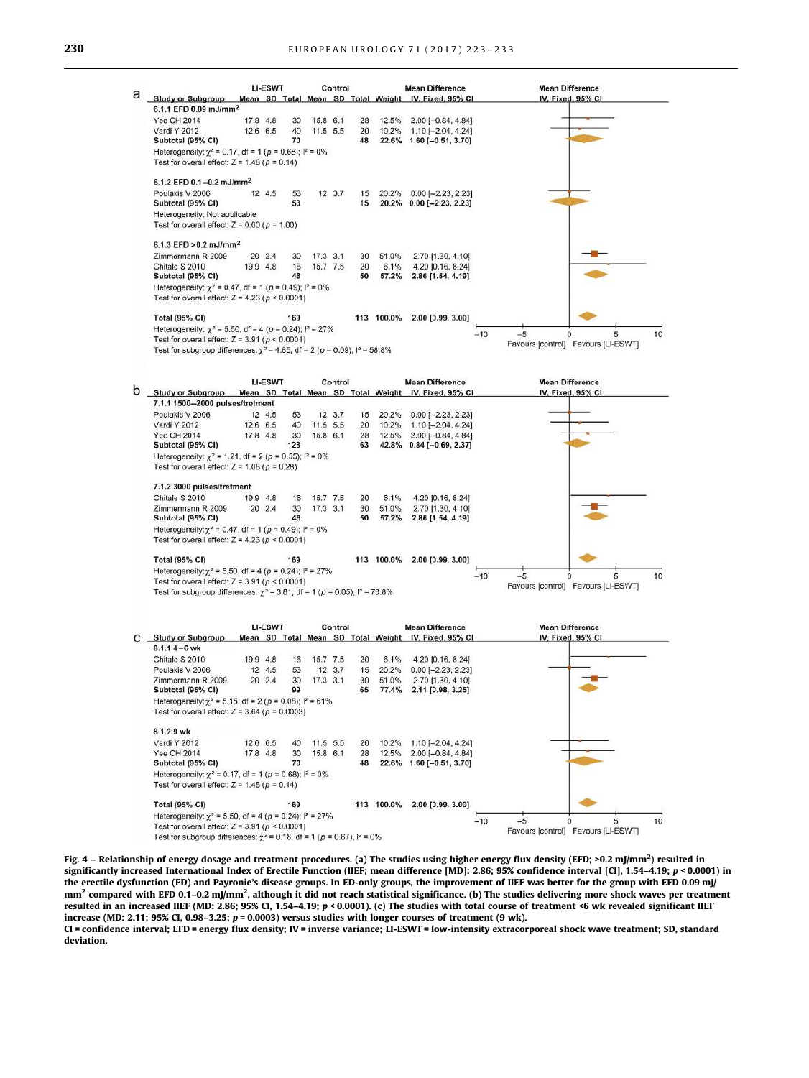<span id="page-7-0"></span>**Mean Difference LI-ESWT** Control **Mean Difference** a Study or Subgroup IV. Fixed, 95% CI Mean SD Total Mean SD Total Weight IV Fixed 95% CI 6.1.1 EFD 0.09 mJ/mm<sup>2</sup> **Yee CH 2014** 158.61  $178A$  $30^{\circ}$  $28$  $12.5%$ 2.00 (-0.84 4.84)  $40$  $\overline{20}$ 10.2%  $1.10[-2.04, 4.24]$ Vardi Y 2012  $12.665$ 11.5 5.5 Subtotal (95% CI) 70  $48$ 22.6% 1.60 [-0.51, 3.70] Heterogeneity:  $\chi^2$  = 0.17, df = 1 (p = 0.68);  $I^2$  = 0% Test for overall effect:  $Z = 1.48$  ( $p = 0.14$ ) 612 FED 01-02 m l/mm<sup>2</sup> Poulakis V 2006 12 4.5 **E2**  $12, 3.7$ 15 20.2% 0.00 (-2.23. 2.23) Subtotal (95% CI) 53 15 20.2% 0.00 [-2.23, 2.23] Heterogeneity: Not applicable Test for overall effect:  $Z = 0.00$  ( $p = 1.00$ ) 6.1.3 EFD > 0.2 mJ/mm<sup>2</sup> Zimmermann R 2009 20 2.4 30  $17.3 \t3.1$ 30 51.0% 2.70 [1.30, 4.10] 16  $20$ 6.1% 4.20 (0.16, 8.24) Chitale S 2010 19.9 4.8 15.7 7.5 Subtotal (95% CI) 46 50 57.2% 2.86 [1.54, 4.19] Heterogeneity:  $\chi^2$  = 0.47, df = 1 ( $\rho$  = 0.49);  $I^2$  = 0% Test for overall effect:  $Z = 4.23 (p < 0.0001)$ **Total (95% CI)** 169 113 100.0% 2.00 [0.99, 3.00] Heterogeneity:  $\chi^2$  = 5.50, df = 4 (p = 0.24);  $I^2$  = 27%  $-10$  $-5$  $10$  $\ddot{\mathbf{o}}$ Test for overall effect:  $Z = 3.91$  ( $p < 0.0001$ ) Favours [control] Favours [LI-ESWT] Test for subgroup differences:  $\gamma^2$  = 4.85, df = 2 (p = 0.09),  $\frac{1}{2}$  = 58.8% LI-ESWT **Mean Difference Mean Difference** Control b Study or Subgroup Mean SD Total Mean SD Total Weight IV, Fixed, 95% CI IV. Fixed, 95% CI 7.1.1 1500-2000 pulses/tretment Poulakis V 2006  $12 \t3.7$  $0.00$  [-2.23, 2.23] 12 4.5 15 20.2% 53 Vardi Y 2012 12.6 6.5 40 11.5 5.5  $20$ 10.2%  $1.10[-2.04, 4.24]$ 30 28 12.5%  $2.00[-0.84, 4.84]$ **Yee CH 2014** 17.8 4.8 15.8 6.1 Subtotal (95% CI) 123 63 42.8%  $0.84[-0.69, 2.37]$ Heterogeneity:  $\chi^2$  = 1.21, df = 2 (p = 0.55); l<sup>2</sup> = 0%



|                       |                                                                                           |          | <b>LI-ESWT</b><br>Control |     |            |          |    |            | <b>Mean Difference</b>                               |       | <b>Mean Difference</b> |                   |  |    |
|-----------------------|-------------------------------------------------------------------------------------------|----------|---------------------------|-----|------------|----------|----|------------|------------------------------------------------------|-------|------------------------|-------------------|--|----|
|                       | <b>Study or Subgroup</b>                                                                  |          |                           |     |            |          |    |            | Mean SD Total Mean SD Total Weight IV, Fixed, 95% CI |       |                        | IV. Fixed, 95% CI |  |    |
| $8.1.14 - 6$ wk       |                                                                                           |          |                           |     |            |          |    |            |                                                      |       |                        |                   |  |    |
| Chitale S 2010        |                                                                                           | 19.9 4.8 |                           | 16  |            | 15.7 7.5 | 20 | 6.1%       | 4.20 [0.16, 8.24]                                    |       |                        |                   |  |    |
| Poulakis V 2006       |                                                                                           |          | 12 4.5                    | 53  |            | 12, 3.7  | 15 | 20.2%      | $0.00$ [-2.23, 2.23]                                 |       |                        |                   |  |    |
|                       | Zimmermann R 2009                                                                         |          | 20 2.4                    | 30  | $17.3$ 3.1 |          | 30 | 51.0%      | 2.70 [1.30, 4.10]                                    |       |                        |                   |  |    |
|                       | Subtotal (95% CI)                                                                         |          |                           | 99  |            |          | 65 | 77.4%      | 2.11 [0.98, 3.25]                                    |       |                        |                   |  |    |
|                       | Heterogeneity: $\gamma^2$ = 5.15, df = 2 (p = 0.08); $l^2$ = 61%                          |          |                           |     |            |          |    |            |                                                      |       |                        |                   |  |    |
|                       | Test for overall effect: $Z = 3.64$ ( $p = 0.0003$ )                                      |          |                           |     |            |          |    |            |                                                      |       |                        |                   |  |    |
| 8.1.29 wk             |                                                                                           |          |                           |     |            |          |    |            |                                                      |       |                        |                   |  |    |
| Vardi Y 2012          |                                                                                           | 12.6 6.5 |                           | 40  |            | 11.5 5.5 | 20 | 10.2%      | $1.10$ [-2.04, 4.24]                                 |       |                        |                   |  |    |
| <b>Yee CH 2014</b>    |                                                                                           | 17.8 4.8 |                           | 30  |            | 15.8 6.1 | 28 | 12.5%      | $2.00$ [-0.84, 4.84]                                 |       |                        |                   |  |    |
|                       | Subtotal (95% CI)                                                                         |          |                           | 70  |            |          | 48 | 22.6%      | $1.60$ [-0.51, 3.70]                                 |       |                        |                   |  |    |
|                       | Heterogeneity: $\chi^2$ = 0.17, df = 1 ( $p$ = 0.68); $I^2$ = 0%                          |          |                           |     |            |          |    |            |                                                      |       |                        |                   |  |    |
|                       | Test for overall effect: $Z = 1.48$ ( $p = 0.14$ )                                        |          |                           |     |            |          |    |            |                                                      |       |                        |                   |  |    |
| <b>Total (95% CI)</b> |                                                                                           |          |                           | 169 |            |          |    | 113 100.0% | 2.00 [0.99, 3.00]                                    |       |                        |                   |  |    |
|                       | Heterogeneity: $\chi^2$ = 5.50, df = 4 (p = 0.24); l <sup>2</sup> = 27%                   |          |                           |     |            |          |    |            |                                                      |       |                        |                   |  |    |
|                       | Test for overall effect: $Z = 3.91$ ( $p < 0.0001$ )                                      |          |                           |     |            |          |    |            |                                                      | $-10$ |                        |                   |  | 10 |
|                       | Test for subgroup differences: $\gamma^2 = 0.18$ , df = 1 (p = 0.67), $\frac{1}{2} = 0\%$ |          |                           |     |            |          |    |            |                                                      |       | Favours [control]      | Favours [LI-ESWT] |  |    |

Fig. 4 – Relationship of energy dosage and treatment procedures. (a) The studies using higher energy flux density (EFD; >0.2 mJ/mm<sup>2</sup>) resulted in significantly increased International Index of Erectile Function (IIEF; mean difference [MD]: 2.86; 95% confidence interval [CI], 1.54–4.19; p < 0.0001) in the erectile dysfunction (ED) and Payronie's disease groups. In ED-only groups, the improvement of IIEF was better for the group with EFD 0.09 mJ/ mm<sup>2</sup> compared with EFD 0.1–0.2 mJ/mm<sup>2</sup>, although it did not reach statistical significance. (b) The studies delivering more shock waves per treatment resulted in an increased IIEF (MD: 2.86; 95% CI, 1.54–4.19; p < 0.0001). (c) The studies with total course of treatment <6 wk revealed significant IIEF increase (MD: 2.11; 95% CI, 0.98-3.25;  $p = 0.0003$ ) versus studies with longer courses of treatment (9 wk).

CI = confidence interval; EFD = energy flux density; IV = inverse variance; LI-ESWT = low-intensity extracorporeal shock wave treatment; SD, standard deviation.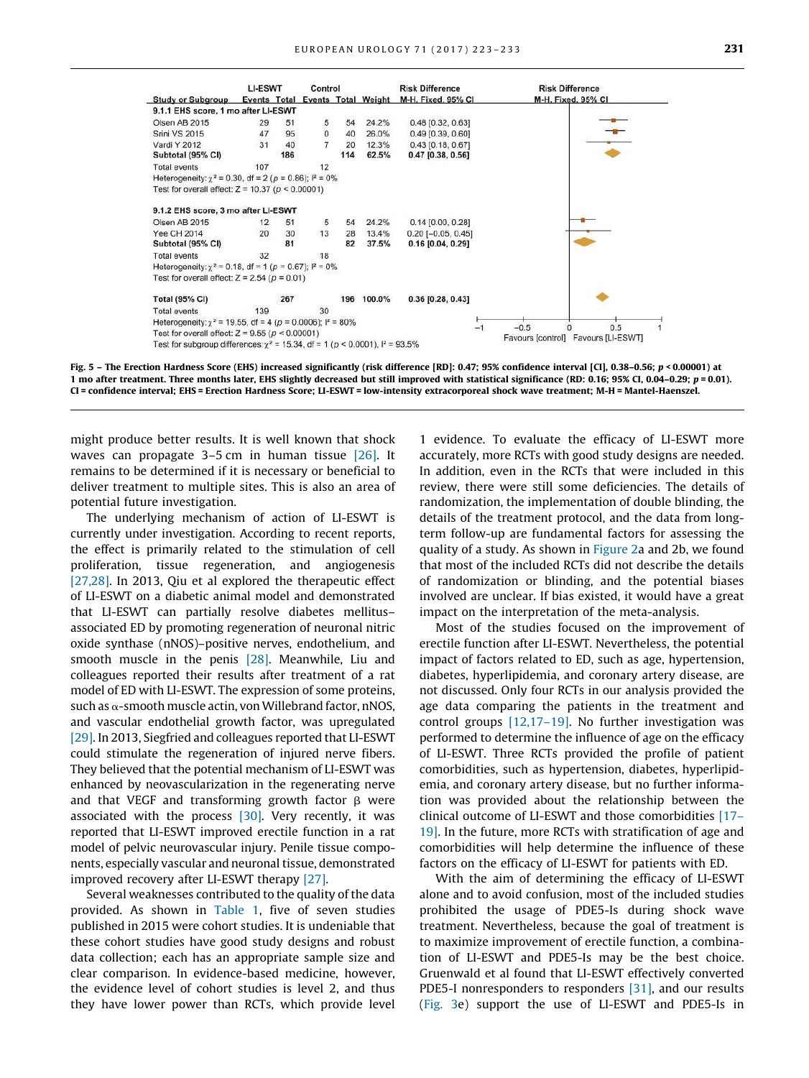<span id="page-8-0"></span>

Fig. 5 – The Erection Hardness Score (EHS) increased significantly (risk difference [RD]: 0.47; 95% confidence interval [CI], 0.38–0.56; p < 0.00001) at 1 mo after treatment. Three months later, EHS slightly decreased but still improved with statistical significance (RD: 0.16; 95% CI, 0.04–0.29;  $p = 0.01$ ). CI = confidence interval; EHS = Erection Hardness Score; LI-ESWT = low-intensity extracorporeal shock wave treatment; M-H = Mantel-Haenszel.

might produce better results. It is well known that shock waves can propagate 3–5 cm in human tissue [\[26\]](#page-10-0). It remains to be determined if it is necessary or beneficial to deliver treatment to multiple sites. This is also an area of potential future investigation.

The underlying mechanism of action of LI-ESWT is currently under investigation. According to recent reports, the effect is primarily related to the stimulation of cell proliferation, tissue regeneration, and angiogenesis [\[27,28\]](#page-10-0). In 2013, Qiu et al explored the therapeutic effect of LI-ESWT on a diabetic animal model and demonstrated that LI-ESWT can partially resolve diabetes mellitus– associated ED by promoting regeneration of neuronal nitric oxide synthase (nNOS)–positive nerves, endothelium, and smooth muscle in the penis [\[28\].](#page-10-0) Meanwhile, Liu and colleagues reported their results after treatment of a rat model of ED with LI-ESWT. The expression of some proteins, such as  $\alpha$ -smooth muscle actin, von Willebrand factor, nNOS, and vascular endothelial growth factor, was upregulated [\[29\]](#page-10-0). In 2013, Siegfried and colleagues reported that LI-ESWT could stimulate the regeneration of injured nerve fibers. They believed that the potential mechanism of LI-ESWT was enhanced by neovascularization in the regenerating nerve and that VEGF and transforming growth factor  $\beta$  were associated with the process  $[30]$ . Very recently, it was reported that LI-ESWT improved erectile function in a rat model of pelvic neurovascular injury. Penile tissue components, especially vascular and neuronal tissue, demonstrated improved recovery after LI-ESWT therapy [\[27\].](#page-10-0)

Several weaknesses contributed to the quality of the data provided. As shown in [Table 1,](#page-2-0) five of seven studies published in 2015 were cohort studies. It is undeniable that these cohort studies have good study designs and robust data collection; each has an appropriate sample size and clear comparison. In evidence-based medicine, however, the evidence level of cohort studies is level 2, and thus they have lower power than RCTs, which provide level

1 evidence. To evaluate the efficacy of LI-ESWT more accurately, more RCTs with good study designs are needed. In addition, even in the RCTs that were included in this review, there were still some deficiencies. The details of randomization, the implementation of double blinding, the details of the treatment protocol, and the data from longterm follow-up are fundamental factors for assessing the quality of a study. As shown in [Figure 2](#page-3-0)a and 2b, we found that most of the included RCTs did not describe the details of randomization or blinding, and the potential biases involved are unclear. If bias existed, it would have a great impact on the interpretation of the meta-analysis.

Most of the studies focused on the improvement of erectile function after LI-ESWT. Nevertheless, the potential impact of factors related to ED, such as age, hypertension, diabetes, hyperlipidemia, and coronary artery disease, are not discussed. Only four RCTs in our analysis provided the age data comparing the patients in the treatment and control groups [\[12,17–19\]](#page-9-0). No further investigation was performed to determine the influence of age on the efficacy of LI-ESWT. Three RCTs provided the profile of patient comorbidities, such as hypertension, diabetes, hyperlipidemia, and coronary artery disease, but no further information was provided about the relationship between the clinical outcome of LI-ESWT and those comorbidities [\[17–](#page-9-0) [19\]](#page-9-0). In the future, more RCTs with stratification of age and comorbidities will help determine the influence of these factors on the efficacy of LI-ESWT for patients with ED.

With the aim of determining the efficacy of LI-ESWT alone and to avoid confusion, most of the included studies prohibited the usage of PDE5-Is during shock wave treatment. Nevertheless, because the goal of treatment is to maximize improvement of erectile function, a combination of LI-ESWT and PDE5-Is may be the best choice. Gruenwald et al found that LI-ESWT effectively converted PDE5-I nonresponders to responders [\[31\],](#page-10-0) and our results [\(Fig. 3](#page-4-0)e) support the use of LI-ESWT and PDE5-Is in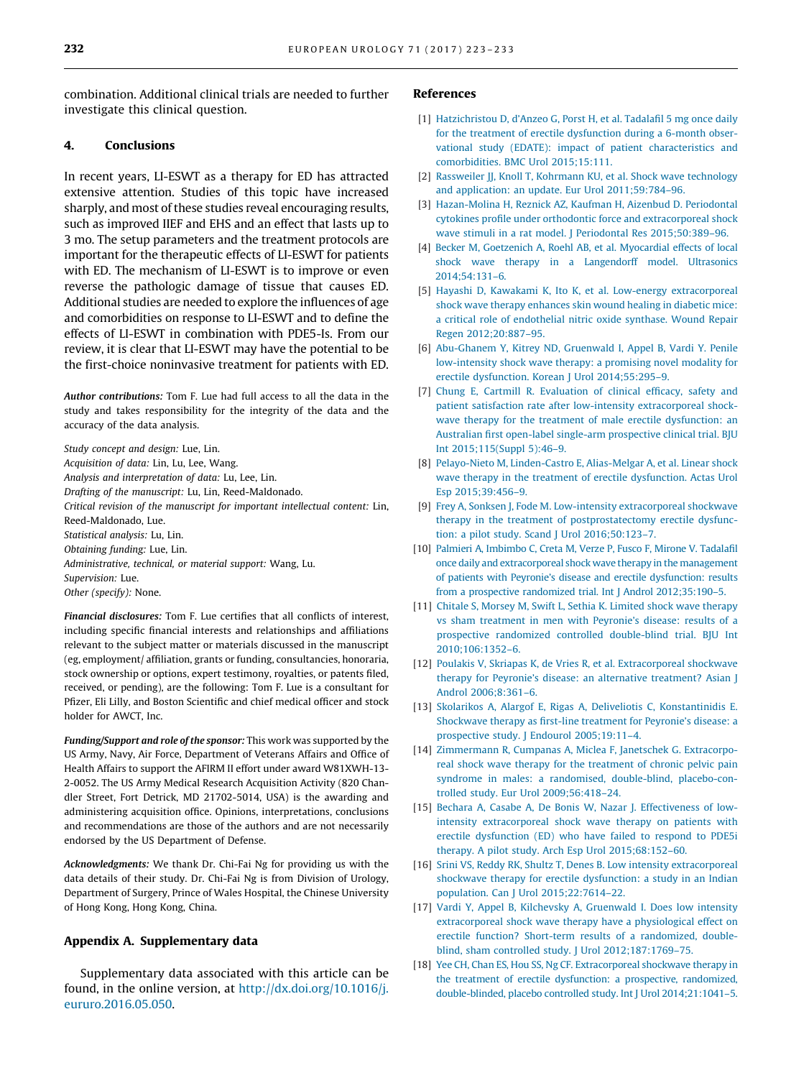<span id="page-9-0"></span>combination. Additional clinical trials are needed to further investigate this clinical question.

#### 4. Conclusions

In recent years, LI-ESWT as a therapy for ED has attracted extensive attention. Studies of this topic have increased sharply, and most of these studies reveal encouraging results, such as improved IIEF and EHS and an effect that lasts up to 3 mo. The setup parameters and the treatment protocols are important for the therapeutic effects of LI-ESWT for patients with ED. The mechanism of LI-ESWT is to improve or even reverse the pathologic damage of tissue that causes ED. Additional studies are needed to explore the influences of age and comorbidities on response to LI-ESWT and to define the effects of LI-ESWT in combination with PDE5-Is. From our review, it is clear that LI-ESWT may have the potential to be the first-choice noninvasive treatment for patients with ED.

*Author contributions:* Tom F. Lue had full access to all the data in the study and takes responsibility for the integrity of the data and the accuracy of the data analysis.

Study concept and design: Lue, Lin. Acquisition of data: Lin, Lu, Lee, Wang. Analysis and interpretation of data: Lu, Lee, Lin. Drafting of the manuscript: Lu, Lin, Reed-Maldonado. Critical revision of the manuscript for important intellectual content: Lin, Reed-Maldonado, Lue. Statistical analysis: Lu, Lin. Obtaining funding: Lue, Lin. Administrative, technical, or material support: Wang, Lu. Supervision: Lue. Other (specify): None.

*Financial disclosures:* Tom F. Lue certifies that all conflicts of interest, including specific financial interests and relationships and affiliations relevant to the subject matter or materials discussed in the manuscript (eg, employment/ affiliation, grants or funding, consultancies, honoraria, stock ownership or options, expert testimony, royalties, or patents filed, received, or pending), are the following: Tom F. Lue is a consultant for Pfizer, Eli Lilly, and Boston Scientific and chief medical officer and stock holder for AWCT, Inc.

*Funding/Support and role of the sponsor:* This work was supported by the US Army, Navy, Air Force, Department of Veterans Affairs and Office of Health Affairs to support the AFIRM II effort under award W81XWH-13- 2-0052. The US Army Medical Research Acquisition Activity (820 Chandler Street, Fort Detrick, MD 21702-5014, USA) is the awarding and administering acquisition office. Opinions, interpretations, conclusions and recommendations are those of the authors and are not necessarily endorsed by the US Department of Defense.

*Acknowledgments:* We thank Dr. Chi-Fai Ng for providing us with the data details of their study. Dr. Chi-Fai Ng is from Division of Urology, Department of Surgery, Prince of Wales Hospital, the Chinese University of Hong Kong, Hong Kong, China.

#### Appendix A. Supplementary data

Supplementary data associated with this article can be found, in the online version, at [http://dx.doi.org/10.1016/j.](http://dx.doi.org/10.1016/j.eururo.2016.05.050) [eururo.2016.05.050.](http://dx.doi.org/10.1016/j.eururo.2016.05.050)

#### References

- [1] [Hatzichristou D, d'Anzeo G, Porst H, et al. Tadalafil 5 mg once daily](http://refhub.elsevier.com/S0302-2838(16)30259-7/sbref0160) [for the treatment of erectile dysfunction during a 6-month obser](http://refhub.elsevier.com/S0302-2838(16)30259-7/sbref0160)[vational study \(EDATE\): impact of patient characteristics and](http://refhub.elsevier.com/S0302-2838(16)30259-7/sbref0160) [comorbidities. BMC Urol 2015;15:111](http://refhub.elsevier.com/S0302-2838(16)30259-7/sbref0160).
- [2] [Rassweiler JJ, Knoll T, Kohrmann KU, et al. Shock wave technology](http://refhub.elsevier.com/S0302-2838(16)30259-7/sbref0165) [and application: an update. Eur Urol 2011;59:784–96](http://refhub.elsevier.com/S0302-2838(16)30259-7/sbref0165).
- [3] [Hazan-Molina H, Reznick AZ, Kaufman H, Aizenbud D. Periodontal](http://refhub.elsevier.com/S0302-2838(16)30259-7/sbref0170) [cytokines profile under orthodontic force and extracorporeal shock](http://refhub.elsevier.com/S0302-2838(16)30259-7/sbref0170) [wave stimuli in a rat model. J Periodontal Res 2015;50:389–96.](http://refhub.elsevier.com/S0302-2838(16)30259-7/sbref0170)
- [4] [Becker M, Goetzenich A, Roehl AB, et al. Myocardial effects of local](http://refhub.elsevier.com/S0302-2838(16)30259-7/sbref0175) [shock wave therapy in a Langendorff model. Ultrasonics](http://refhub.elsevier.com/S0302-2838(16)30259-7/sbref0175) [2014;54:131–6](http://refhub.elsevier.com/S0302-2838(16)30259-7/sbref0175).
- [5] [Hayashi D, Kawakami K, Ito K, et al. Low-energy extracorporeal](http://refhub.elsevier.com/S0302-2838(16)30259-7/sbref0180) [shock wave therapy enhances skin wound healing in diabetic mice:](http://refhub.elsevier.com/S0302-2838(16)30259-7/sbref0180) [a critical role of endothelial nitric oxide synthase. Wound Repair](http://refhub.elsevier.com/S0302-2838(16)30259-7/sbref0180) [Regen 2012;20:887–95.](http://refhub.elsevier.com/S0302-2838(16)30259-7/sbref0180)
- [6] [Abu-Ghanem Y, Kitrey ND, Gruenwald I, Appel B, Vardi Y. Penile](http://refhub.elsevier.com/S0302-2838(16)30259-7/sbref0185) [low-intensity shock wave therapy: a promising novel modality for](http://refhub.elsevier.com/S0302-2838(16)30259-7/sbref0185) erectile dysfunction. Korean J Urol 2014;55:295-9.
- [7] [Chung E, Cartmill R. Evaluation of clinical efficacy, safety and](http://refhub.elsevier.com/S0302-2838(16)30259-7/sbref0190) [patient satisfaction rate after low-intensity extracorporeal shock](http://refhub.elsevier.com/S0302-2838(16)30259-7/sbref0190)[wave therapy for the treatment of male erectile dysfunction: an](http://refhub.elsevier.com/S0302-2838(16)30259-7/sbref0190) [Australian first open-label single-arm prospective clinical trial. BJU](http://refhub.elsevier.com/S0302-2838(16)30259-7/sbref0190) [Int 2015;115\(Suppl 5\):46–9.](http://refhub.elsevier.com/S0302-2838(16)30259-7/sbref0190)
- [8] [Pelayo-Nieto M, Linden-Castro E, Alias-Melgar A, et al. Linear shock](http://refhub.elsevier.com/S0302-2838(16)30259-7/sbref0195) [wave therapy in the treatment of erectile dysfunction. Actas Urol](http://refhub.elsevier.com/S0302-2838(16)30259-7/sbref0195) [Esp 2015;39:456–9.](http://refhub.elsevier.com/S0302-2838(16)30259-7/sbref0195)
- [9] [Frey A, Sonksen J, Fode M. Low-intensity extracorporeal shockwave](http://refhub.elsevier.com/S0302-2838(16)30259-7/sbref0200) [therapy in the treatment of postprostatectomy erectile dysfunc](http://refhub.elsevier.com/S0302-2838(16)30259-7/sbref0200)[tion: a pilot study. Scand J Urol 2016;50:123–7.](http://refhub.elsevier.com/S0302-2838(16)30259-7/sbref0200)
- [10] [Palmieri A, Imbimbo C, Creta M, Verze P, Fusco F, Mirone V. Tadalafil](http://refhub.elsevier.com/S0302-2838(16)30259-7/sbref0205) [once daily and extracorporeal shock wave therapy in the management](http://refhub.elsevier.com/S0302-2838(16)30259-7/sbref0205) [of patients with Peyronie's disease and erectile dysfunction: results](http://refhub.elsevier.com/S0302-2838(16)30259-7/sbref0205) [from a prospective randomized trial. Int J Androl 2012;35:190–5](http://refhub.elsevier.com/S0302-2838(16)30259-7/sbref0205).
- [11] [Chitale S, Morsey M, Swift L, Sethia K. Limited shock wave therapy](http://refhub.elsevier.com/S0302-2838(16)30259-7/sbref0210) [vs sham treatment in men with Peyronie's disease: results of a](http://refhub.elsevier.com/S0302-2838(16)30259-7/sbref0210) [prospective randomized controlled double-blind trial. BJU Int](http://refhub.elsevier.com/S0302-2838(16)30259-7/sbref0210) [2010;106:1352–6.](http://refhub.elsevier.com/S0302-2838(16)30259-7/sbref0210)
- [12] [Poulakis V, Skriapas K, de Vries R, et al. Extracorporeal shockwave](http://refhub.elsevier.com/S0302-2838(16)30259-7/sbref0215) [therapy for Peyronie's disease: an alternative treatment? Asian J](http://refhub.elsevier.com/S0302-2838(16)30259-7/sbref0215) [Androl 2006;8:361–6](http://refhub.elsevier.com/S0302-2838(16)30259-7/sbref0215).
- [13] [Skolarikos A, Alargof E, Rigas A, Deliveliotis C, Konstantinidis E.](http://refhub.elsevier.com/S0302-2838(16)30259-7/sbref0220) [Shockwave therapy as first-line treatment for Peyronie's disease: a](http://refhub.elsevier.com/S0302-2838(16)30259-7/sbref0220) [prospective study. J Endourol 2005;19:11–4.](http://refhub.elsevier.com/S0302-2838(16)30259-7/sbref0220)
- [14] [Zimmermann R, Cumpanas A, Miclea F, Janetschek G. Extracorpo](http://refhub.elsevier.com/S0302-2838(16)30259-7/sbref0225)[real shock wave therapy for the treatment of chronic pelvic pain](http://refhub.elsevier.com/S0302-2838(16)30259-7/sbref0225) [syndrome in males: a randomised, double-blind, placebo-con](http://refhub.elsevier.com/S0302-2838(16)30259-7/sbref0225)[trolled study. Eur Urol 2009;56:418–24.](http://refhub.elsevier.com/S0302-2838(16)30259-7/sbref0225)
- [15] [Bechara A, Casabe A, De Bonis W, Nazar J. Effectiveness of low](http://refhub.elsevier.com/S0302-2838(16)30259-7/sbref0230)[intensity extracorporeal shock wave therapy on patients with](http://refhub.elsevier.com/S0302-2838(16)30259-7/sbref0230) [erectile dysfunction \(ED\) who have failed to respond to PDE5i](http://refhub.elsevier.com/S0302-2838(16)30259-7/sbref0230) [therapy. A pilot study. Arch Esp Urol 2015;68:152–60](http://refhub.elsevier.com/S0302-2838(16)30259-7/sbref0230).
- [16] [Srini VS, Reddy RK, Shultz T, Denes B. Low intensity extracorporeal](http://refhub.elsevier.com/S0302-2838(16)30259-7/sbref0235) [shockwave therapy for erectile dysfunction: a study in an Indian](http://refhub.elsevier.com/S0302-2838(16)30259-7/sbref0235) [population. Can J Urol 2015;22:7614–22.](http://refhub.elsevier.com/S0302-2838(16)30259-7/sbref0235)
- [17] [Vardi Y, Appel B, Kilchevsky A, Gruenwald I. Does low intensity](http://refhub.elsevier.com/S0302-2838(16)30259-7/sbref0240) [extracorporeal shock wave therapy have a physiological effect on](http://refhub.elsevier.com/S0302-2838(16)30259-7/sbref0240) [erectile function? Short-term results of a randomized, double](http://refhub.elsevier.com/S0302-2838(16)30259-7/sbref0240)[blind, sham controlled study. J Urol 2012;187:1769–75.](http://refhub.elsevier.com/S0302-2838(16)30259-7/sbref0240)
- [18] [Yee CH, Chan ES, Hou SS, Ng CF. Extracorporeal shockwave therapy in](http://refhub.elsevier.com/S0302-2838(16)30259-7/sbref0245) [the treatment of erectile dysfunction: a prospective, randomized,](http://refhub.elsevier.com/S0302-2838(16)30259-7/sbref0245) [double-blinded, placebo controlled study. Int J Urol 2014;21:1041–5.](http://refhub.elsevier.com/S0302-2838(16)30259-7/sbref0245)